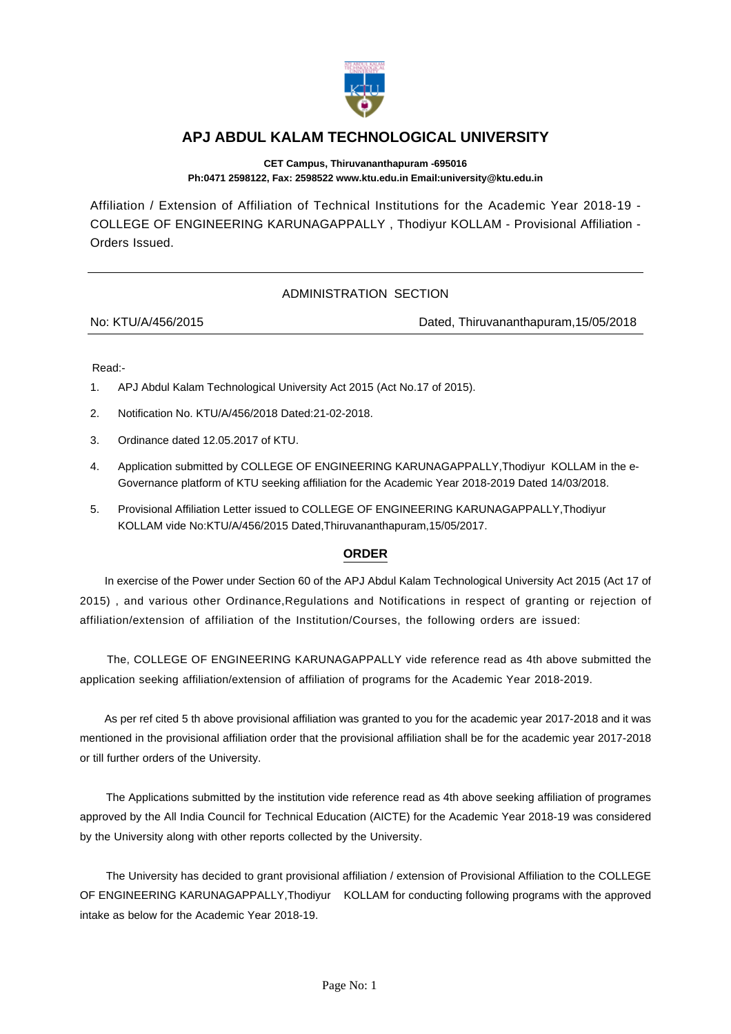

## **APJ ABDUL KALAM TECHNOLOGICAL UNIVERSITY**

**CET Campus, Thiruvananthapuram -695016 Ph:0471 2598122, Fax: 2598522 www.ktu.edu.in Email:university@ktu.edu.in**

Affiliation / Extension of Affiliation of Technical Institutions for the Academic Year 2018-19 - COLLEGE OF ENGINEERING KARUNAGAPPALLY , Thodiyur KOLLAM - Provisional Affiliation - Orders Issued.

## ADMINISTRATION SECTION

No: KTU/A/456/2015 Dated, Thiruvananthapuram,15/05/2018

Read:-

- 1. APJ Abdul Kalam Technological University Act 2015 (Act No.17 of 2015).
- 2. Notification No. KTU/A/456/2018 Dated:21-02-2018.
- 3. Ordinance dated 12.05.2017 of KTU.
- 4. Application submitted by COLLEGE OF ENGINEERING KARUNAGAPPALLY,Thodiyur KOLLAM in the e-Governance platform of KTU seeking affiliation for the Academic Year 2018-2019 Dated 14/03/2018.
- 5. Provisional Affiliation Letter issued to COLLEGE OF ENGINEERING KARUNAGAPPALLY,Thodiyur KOLLAM vide No:KTU/A/456/2015 Dated,Thiruvananthapuram,15/05/2017.

## **ORDER**

 In exercise of the Power under Section 60 of the APJ Abdul Kalam Technological University Act 2015 (Act 17 of 2015) , and various other Ordinance,Regulations and Notifications in respect of granting or rejection of affiliation/extension of affiliation of the Institution/Courses, the following orders are issued:

 The, COLLEGE OF ENGINEERING KARUNAGAPPALLY vide reference read as 4th above submitted the application seeking affiliation/extension of affiliation of programs for the Academic Year 2018-2019.

 As per ref cited 5 th above provisional affiliation was granted to you for the academic year 2017-2018 and it was mentioned in the provisional affiliation order that the provisional affiliation shall be for the academic year 2017-2018 or till further orders of the University.

 The Applications submitted by the institution vide reference read as 4th above seeking affiliation of programes approved by the All India Council for Technical Education (AICTE) for the Academic Year 2018-19 was considered by the University along with other reports collected by the University.

 The University has decided to grant provisional affiliation / extension of Provisional Affiliation to the COLLEGE OF ENGINEERING KARUNAGAPPALLY,Thodiyur KOLLAM for conducting following programs with the approved intake as below for the Academic Year 2018-19.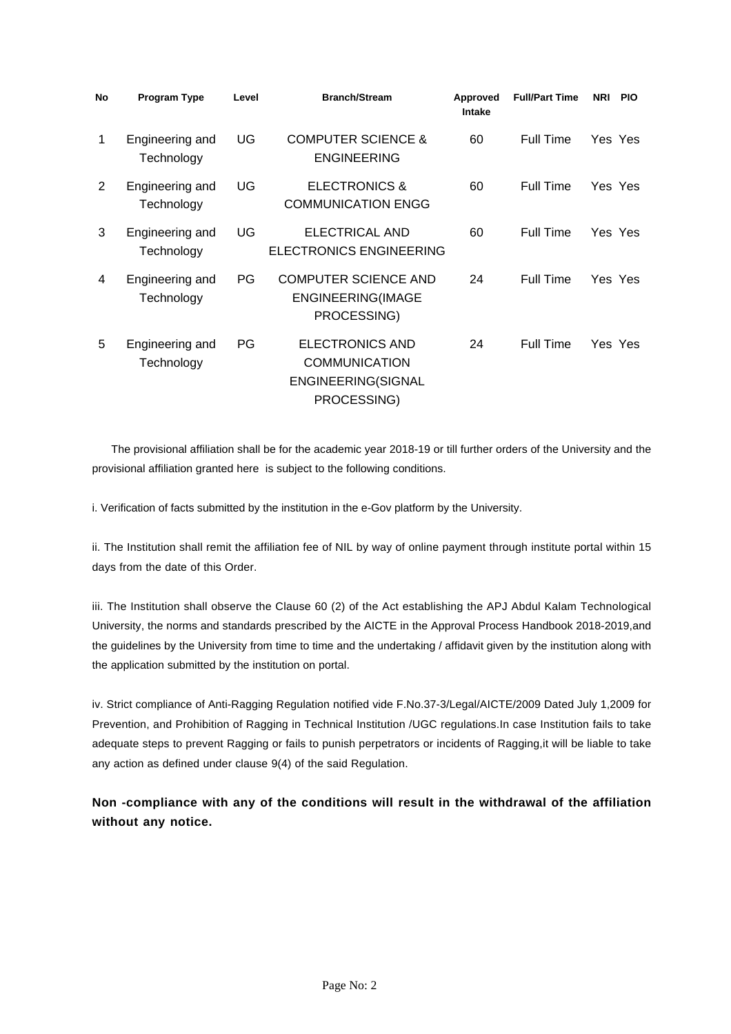| No          | <b>Program Type</b>           | Level | <b>Branch/Stream</b>                                                                | Approved<br>Intake | <b>Full/Part Time</b> | <b>NRI</b> | <b>PIO</b> |
|-------------|-------------------------------|-------|-------------------------------------------------------------------------------------|--------------------|-----------------------|------------|------------|
| $\mathbf 1$ | Engineering and<br>Technology | UG    | <b>COMPUTER SCIENCE &amp;</b><br><b>ENGINEERING</b>                                 | 60                 | Full Time             |            | Yes Yes    |
| 2           | Engineering and<br>Technology | UG    | <b>ELECTRONICS &amp;</b><br><b>COMMUNICATION ENGG</b>                               | 60                 | Full Time             |            | Yes Yes    |
| 3           | Engineering and<br>Technology | UG    | ELECTRICAL AND<br><b>ELECTRONICS ENGINEERING</b>                                    | 60                 | Full Time             |            | Yes Yes    |
| 4           | Engineering and<br>Technology | PG    | <b>COMPUTER SCIENCE AND</b><br><b>ENGINEERING(IMAGE</b><br>PROCESSING)              | 24                 | Full Time             |            | Yes Yes    |
| 5           | Engineering and<br>Technology | PG    | <b>ELECTRONICS AND</b><br><b>COMMUNICATION</b><br>ENGINEERING(SIGNAL<br>PROCESSING) | 24                 | Full Time             |            | Yes Yes    |

 The provisional affiliation shall be for the academic year 2018-19 or till further orders of the University and the provisional affiliation granted here is subject to the following conditions.

i. Verification of facts submitted by the institution in the e-Gov platform by the University.

ii. The Institution shall remit the affiliation fee of NIL by way of online payment through institute portal within 15 days from the date of this Order.

iii. The Institution shall observe the Clause 60 (2) of the Act establishing the APJ Abdul Kalam Technological University, the norms and standards prescribed by the AICTE in the Approval Process Handbook 2018-2019,and the guidelines by the University from time to time and the undertaking / affidavit given by the institution along with the application submitted by the institution on portal.

iv. Strict compliance of Anti-Ragging Regulation notified vide F.No.37-3/Legal/AICTE/2009 Dated July 1,2009 for Prevention, and Prohibition of Ragging in Technical Institution /UGC regulations.In case Institution fails to take adequate steps to prevent Ragging or fails to punish perpetrators or incidents of Ragging,it will be liable to take any action as defined under clause 9(4) of the said Regulation.

**Non -compliance with any of the conditions will result in the withdrawal of the affiliation without any notice.**